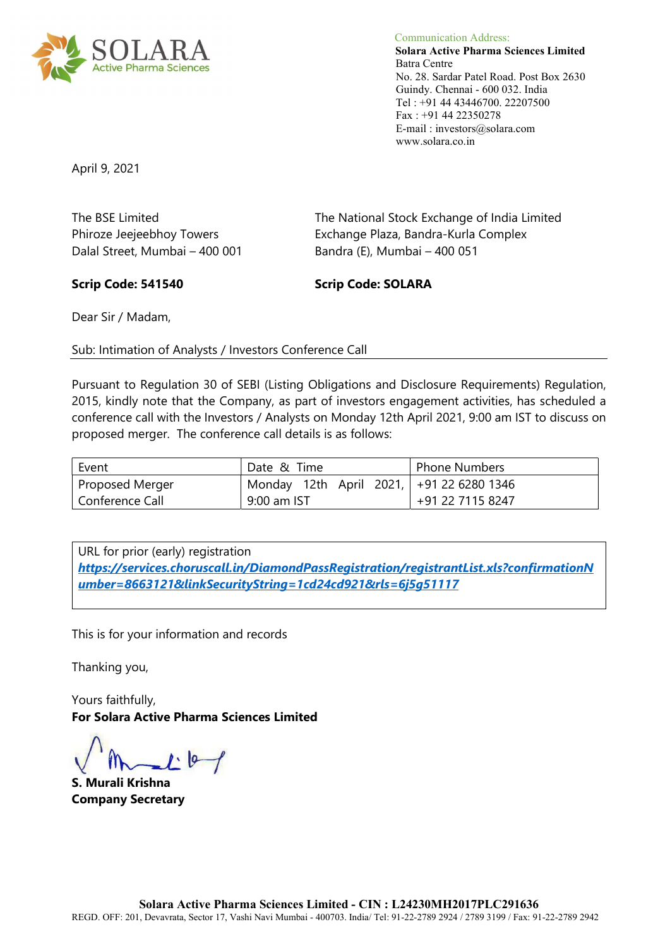

Communication Address: Solara Active Pharma Sciences Limited Batra Centre No. 28. Sardar Patel Road. Post Box 2630 Guindy. Chennai - 600 032. India Tel : +91 44 43446700. 22207500 Fax : +91 44 22350278 E-mail : investors@solara.com www.solara.co.in

April 9, 2021

The BSE Limited The National Stock Exchange of India Limited Phiroze Jeejeebhoy Towers **Exchange Plaza, Bandra-Kurla Complex** Dalal Street, Mumbai – 400 001 Bandra (E), Mumbai – 400 051

#### Scrip Code: 541540 Scrip Code: SOLARA

Dear Sir / Madam,

Sub: Intimation of Analysts / Investors Conference Call

Pursuant to Regulation 30 of SEBI (Listing Obligations and Disclosure Requirements) Regulation, 2015, kindly note that the Company, as part of investors engagement activities, has scheduled a conference call with the Investors / Analysts on Monday 12th April 2021, 9:00 am IST to discuss on proposed merger. The conference call details is as follows:

| Event           | Date & Time                              | Phone Numbers    |
|-----------------|------------------------------------------|------------------|
| Proposed Merger | Monday 12th April 2021, +91 22 6280 1346 |                  |
| Conference Call | 9:00 am IST                              | +91 22 7115 8247 |

URL for prior (early) registration https://services.choruscall.in/DiamondPassRegistration/registrantList.xls?confirmationN umber=8663121&linkSecurityString=1cd24cd921&rls=6j5g51117

This is for your information and records

Thanking you,

Yours faithfully, For Solara Active Pharma Sciences Limited

 $1 - 6 - 1$ 

S. Murali Krishna Company Secretary